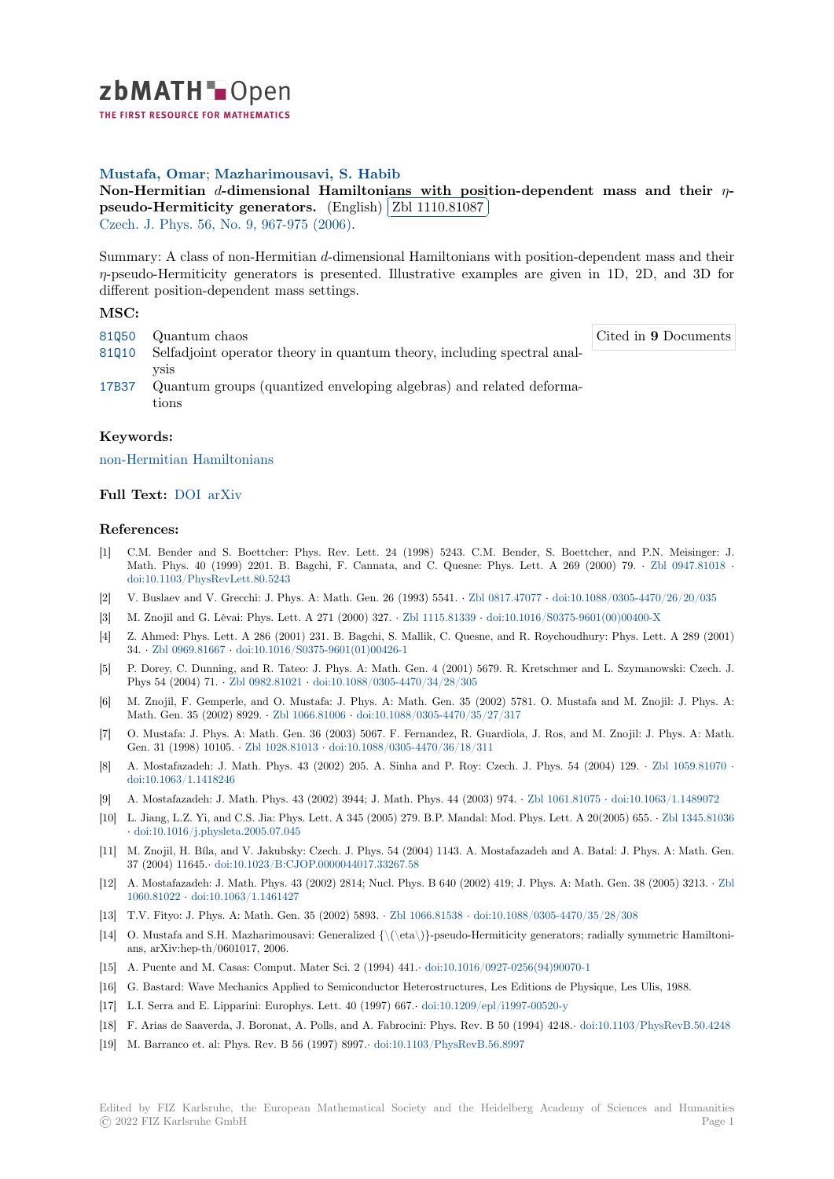

THE FIRST RESOURCE FOR MATHEMATICS

# **Mustafa, Omar**; **Mazharimousavi, S. Habib**

**[N](https://zbmath.org/)on-Hermitian** *d***-dimensional Hamiltonians with position-dependent mass and their** *η* **pseudo-Hermiticity generators.** (English) ✂ Zbl 1110.81087 Į. Czech. J. Phys. 56, No. 9, 967-975 (2006).

[Summary: A class](https://zbmath.org/authors/?q=ai:mustafa.omar) [of non-Hermitian](https://zbmath.org/authors/?q=ai:mazharimousavi.s-habib) *d*[-dimensional Hamiltonians with position-dependent mass and their](https://zbmath.org/1110.81087) *η*[-pseudo-Hermiticity generators is](https://zbmath.org/1110.81087) presented. [Illustrative exam](https://zbmath.org/1110.81087)ples are given in 1D, 2D, and 3D for [different positio](https://zbmath.org/journals/?q=se:2761)[n-dependent mass settings](https://zbmath.org/?q=in:188321).

## **MSC:**

- 81Q50 Quantum chaos
- 81Q10 Selfadjoint operator theory in quantum theory, including spectral analysis
- 17B37 Quantum groups (quantized enveloping algebras) and related deformations

### **[Keyw](https://zbmath.org/classification/?q=cc:81Q10)ords:**

[non-H](https://zbmath.org/classification/?q=cc:17B37)ermitian Hamiltonians

## **Full Text:** DOI arXiv

### **[References:](https://zbmath.org/?q=ut:non-Hermitian+Hamiltonians)**

- [1] C.M. Bender and S. Boettcher: Phys. Rev. Lett. 24 (1998) 5243. C.M. Bender, S. Boettcher, and P.N. Meisinger: J. Math. P[hys. 40](https://dx.doi.org/10.1007/s10582-006-0392-z) [\(1999\)](https://arxiv.org/abs/quant-ph/0603272) 2201. B. Bagchi, F. Cannata, and C. Quesne: Phys. Lett. A 269 (2000) 79. *·* Zbl 0947.81018 *·* doi:10.1103/PhysRevLett.80.5243
- [2] V. Buslaev and V. Grecchi: J. Phys. A: Math. Gen. 26 (1993) 5541. *·* Zbl 0817.47077 *·* doi:10.1088/0305-4470/26/20/035
- [3] M. Znojil and G. Lévai: Phys. Lett. A 271 (2000) 327. *·* Zbl 1115.81339 *·* doi:10.1016/S0375-9601(00)00400-X
- [4] Z. Ahmed: Phys. Lett. A 286 (2001) 231. B. Bagchi, S. Mallik, C. Quesne, and R. Roychoudhury: Phys.L[ett. A 289 \(2001](https://zbmath.org/0947.81018)) 34. *·* [Zbl 0969.81667](https://dx.doi.org/10.1103/PhysRevLett.80.5243) *·* doi:10.1016/S0375-9601(01)00426-1
- [5] P. Dorey, C. Dunning, and R. Tateo: J. Phys. A: Math. Gen. 4 (2001[\) 5679. R. Kret](https://zbmath.org/0817.47077)s[chmer and L. Szymanowski: Czech](https://dx.doi.org/10.1088/0305-4470/26/20/035). J. Phys 54 (2004) 71. *·* Zbl 0982.81021 *·* doi:10.1088/0305-[4470/34/28/305](https://zbmath.org/1115.81339)
- [6] M. Znojil, F. Gemperle, and O. Mustafa: J. Phys. A: Math. Gen. 35 (2002) 5781. O. Mustafa and M. Znojil: J. Phys. A: Mat[h. Gen. 35 \(2002](https://zbmath.org/0969.81667)) 8929. *·* [Zbl 1066.81006](https://dx.doi.org/10.1016/S0375-9601(01)00426-1) *·* doi:10.1088/0305-4470/35/27/317
- [7] O. Mustafa: J. Phys. A: Math. Gen. 36 (2003) 5067. F. Fernandez, R. Guardiola, J. Ros, and M. Znojil: J. Phys. A: Math. Gen. 31 (1998) 10105. *·* [Zbl 1028.810](https://zbmath.org/0982.81021)13 *·* [doi:10.1088/0305-4470/36/18/3](https://dx.doi.org/10.1088/0305-4470/34/28/305)11
- [8] A. Mostafazadeh: J. Math. Phys. 43 (2002) 205. A. Sinha and P. Roy: Czech. J. Phys. 54 (2004) 129. *·* Zbl 1059.81070 *·* doi:10.1063/1.1418246
- [9] A. Mostafazadeh: J. Math. Phys. 43 (2002) 3944; J. Math. Phys. 44 (2003) 974. *·* Zbl 1061.81075 *·* doi:10.1063/1.1489072
- [10] L. Jiang, L.Z. Yi, and C[.S. Jia: Phys. Le](https://zbmath.org/1028.81013)t[t. A 345 \(2005\) 279. B.P. Mandal: M](https://dx.doi.org/10.1088/0305-4470/36/18/311)od. Phys. Lett. A 20(2005) 655. *·* Zbl 1345.81036 *·* doi:10.1016/j.physleta.2005.07.045
- [11] [M. Znojil, H. Bíla, and](https://dx.doi.org/10.1063/1.1418246) V. Jakubsky: Czech. J. Phys. 54 (2004) 1143. A. Mostafazadeh and A. Batal: J. Phys. A: Math. Gen. 37 (2004) 11645.*·* doi:10.1023/B:CJOP.0000044017.33267.58
- [12] A. Mostafazadeh: J. Math. Phys. 43 (2002) 2814; Nucl. Phys. B 640 (2002) 419; J. Phys. A: Math. Gen. 38 (2[005\) 3213.](https://zbmath.org/1345.81036) *·* Zbl 1060.81022 *·* [doi:10.1063/1.1461427](https://dx.doi.org/10.1016/j.physleta.2005.07.045)
- [13] T.V. Fityo: J. Phys. A: Math. Gen. 35 (2002) 5893. *·* Zbl 1066.81538 *·* doi:10.1088/0305-4470/35/28/308
- [14]O. Mustafa and S.H. Mazharimousavi: Generalized  ${\langle\langle\eta\rangle\rangle}$ -pseudo-Hermiticity generators; radially symmetric Hamiltonians, arXiv:hep-th/0601017, 2006.
- [15] [A. Puente a](https://zbmath.org/1060.81022)n[d M. Casas: Comput.](https://dx.doi.org/10.1063/1.1461427) Mater Sci. 2 (1994) 441.*·* doi:10.1016/0927-0256(94)90070-1
- [16] G. Bastard: Wave Mechanics Applied to Semiconduct[or Heterostruct](https://zbmath.org/1066.81538)u[res, Les Editions de Physique, Les](https://dx.doi.org/10.1088/0305-4470/35/28/308) Ulis, 1988.
- [17] L.I. Serra and E. Lipparini: Europhys. Lett. 40 (1997) 667.*·* doi:10.1209/epl/i1997-00520-y
- [18] F. Arias de Saaverda, J. Boronat, A. Polls, and A. Fabrocini: Phys. Rev. B 50 (1994) 4248.*·* doi:10.1103/PhysRevB.50.4248
- [19] M. Barranco et. al: Phys. Rev. B 56 (1997) 8997.*·* doi:10.110[3/PhysRevB.56.8997](https://dx.doi.org/10.1016/0927-0256(94)90070-1)

Cited in **9** Documents